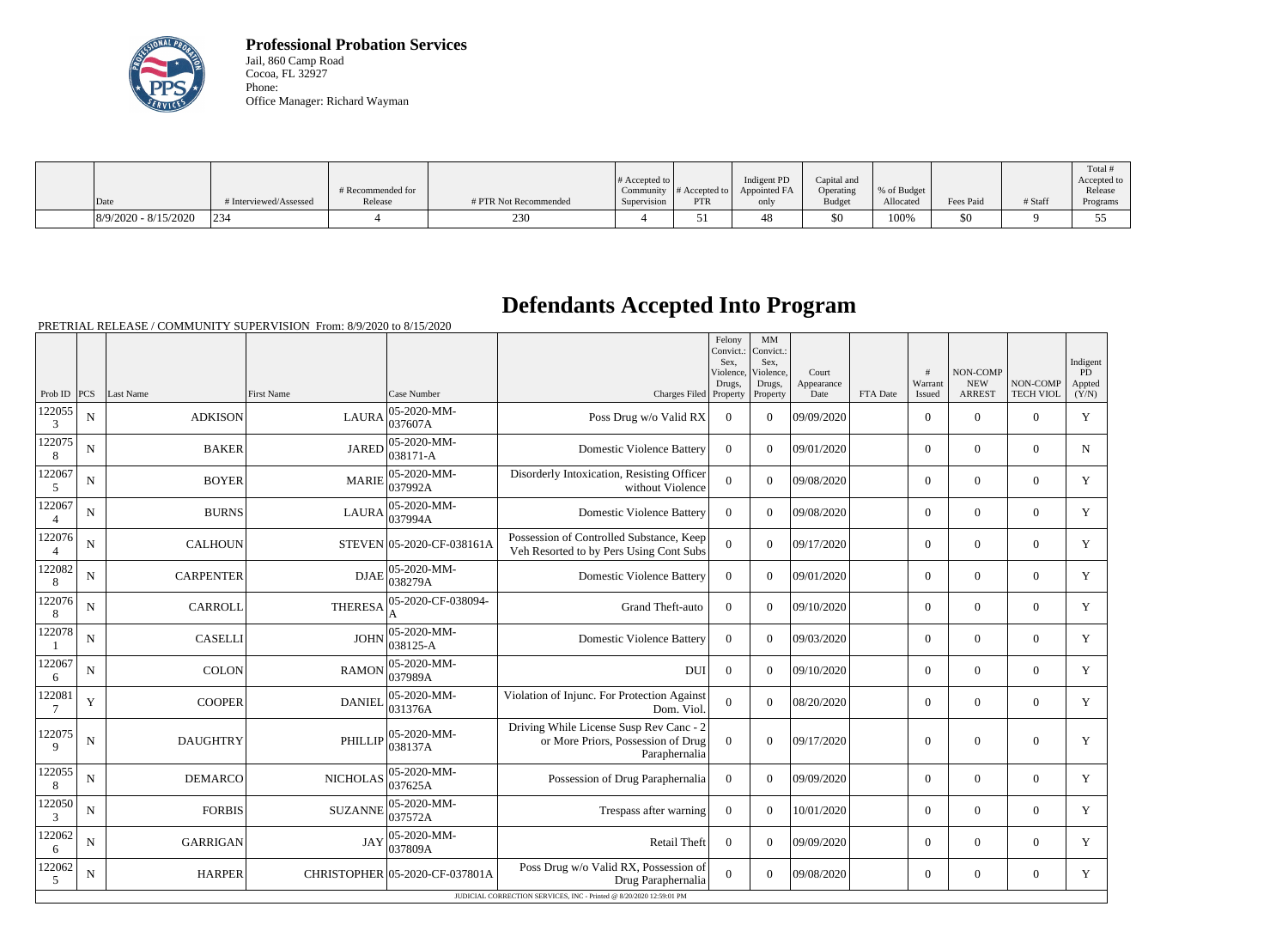

**Professional Probation Services** Jail, 860 Camp Road Cocoa, FL 32927 Phone: Office Manager: Richard Wayman

|                        |                        |                   |                       |                       |               |              |               |             |           |         | Total <sup>+</sup> |
|------------------------|------------------------|-------------------|-----------------------|-----------------------|---------------|--------------|---------------|-------------|-----------|---------|--------------------|
|                        |                        |                   |                       | # Accepted to $\vert$ |               | Indigent PD  | Capital and   |             |           |         | Accepted to        |
|                        |                        | # Recommended for |                       | Community             | # Accepted to | Appointed FA | Operating     | % of Budget |           |         | Release            |
| Date                   | # Interviewed/Assessed | Release           | # PTR Not Recommended | Supervision           | <b>PTR</b>    | only         | <b>Budget</b> | Allocated   | Fees Paid | # Staff | Programs           |
| $8/9/2020 - 8/15/2020$ | 234                    |                   | 230<br>، ب            |                       |               |              | \$0           | 100%        | \$0       |         |                    |

## **Defendants Accepted Into Program**

PRETRIAL RELEASE / COMMUNITY SUPERVISION From: 8/9/2020 to 8/15/2020

|                           |             |                  |                 |                                |                                                                                                | Felony<br>Convict.:<br>Sex.<br>Violence,<br>Drugs, | MM<br>Convict.:<br>Sex,<br>Violence,<br>Drugs, | Court<br>Appearance |          | #<br>Warrant   | NON-COMP<br><b>NEW</b> | NON-COMP         | Indigent<br>PD<br>Appted |
|---------------------------|-------------|------------------|-----------------|--------------------------------|------------------------------------------------------------------------------------------------|----------------------------------------------------|------------------------------------------------|---------------------|----------|----------------|------------------------|------------------|--------------------------|
| Prob ID $ PCS $           |             | Last Name        | First Name      | Case Number                    | Charges Filed Property                                                                         |                                                    | Property                                       | Date                | FTA Date | Issued         | <b>ARREST</b>          | <b>TECH VIOL</b> | (Y/N)                    |
| 122055<br>3               | $\mathbf N$ | <b>ADKISON</b>   | <b>LAURA</b>    | 05-2020-MM-<br>037607A         | Poss Drug w/o Valid RX                                                                         | $\overline{0}$                                     | $\theta$                                       | 09/09/2020          |          | $\Omega$       | $\Omega$               | $\Omega$         | Y                        |
| 122075<br>8               | $\mathbf N$ | <b>BAKER</b>     | <b>JARED</b>    | 05-2020-MM-<br>038171-A        | <b>Domestic Violence Battery</b>                                                               | $\mathbf{0}$                                       | $\Omega$                                       | 09/01/2020          |          | $\overline{0}$ | $\mathbf{0}$           | $\mathbf{0}$     | $\mathbf N$              |
| 122067<br>5               | $\mathbf N$ | <b>BOYER</b>     | <b>MARIE</b>    | 05-2020-MM-<br>037992A         | Disorderly Intoxication, Resisting Officer<br>without Violence                                 | $\overline{0}$                                     | $\theta$                                       | 09/08/2020          |          | $\overline{0}$ | $\mathbf{0}$           | $\overline{0}$   | Y                        |
| 122067<br>$\overline{4}$  | $\mathbf N$ | <b>BURNS</b>     | <b>LAURA</b>    | 05-2020-MM-<br>037994A         | <b>Domestic Violence Battery</b>                                                               | $\theta$                                           | $\theta$                                       | 09/08/2020          |          | $\Omega$       | $\Omega$               | $\Omega$         | Y                        |
| 122076<br>$\overline{4}$  | N           | <b>CALHOUN</b>   |                 | STEVEN 05-2020-CF-038161A      | Possession of Controlled Substance, Keep<br>Veh Resorted to by Pers Using Cont Subs            | $\overline{0}$                                     | $\theta$                                       | 09/17/2020          |          | $\overline{0}$ | $\mathbf{0}$           | $\overline{0}$   | Y                        |
| 122082<br>8               | $\mathbf N$ | <b>CARPENTER</b> | <b>DJAE</b>     | 05-2020-MM-<br>038279A         | <b>Domestic Violence Battery</b>                                                               | $\overline{0}$                                     | $\Omega$                                       | 09/01/2020          |          | $\overline{0}$ | $\mathbf{0}$           | $\mathbf{0}$     | Y                        |
| 122076<br>8               | $\mathbf N$ | <b>CARROLL</b>   | <b>THERESA</b>  | 05-2020-CF-038094-             | Grand Theft-auto                                                                               | $\Omega$                                           | $\Omega$                                       | 09/10/2020          |          | $\overline{0}$ | $\boldsymbol{0}$       | $\overline{0}$   | Y                        |
| 122078                    | ${\bf N}$   | <b>CASELLI</b>   | <b>JOHN</b>     | 05-2020-MM-<br>038125-A        | <b>Domestic Violence Battery</b>                                                               | $\overline{0}$                                     | $\theta$                                       | 09/03/2020          |          | $\overline{0}$ | $\mathbf{0}$           | $\mathbf{0}$     | Y                        |
| 122067<br>6               | $\mathbf N$ | <b>COLON</b>     | <b>RAMON</b>    | 05-2020-MM-<br>037989A         | <b>DUI</b>                                                                                     | $\mathbf{0}$                                       | $\theta$                                       | 09/10/2020          |          | $\overline{0}$ | $\theta$               | $\overline{0}$   | Y                        |
| 122081<br>$7\phantom{.0}$ | Y           | <b>COOPER</b>    | <b>DANIEL</b>   | 05-2020-MM-<br>031376A         | Violation of Injunc. For Protection Against<br>Dom. Viol.                                      | $\overline{0}$                                     | $\theta$                                       | 08/20/2020          |          | $\Omega$       | $\Omega$               | $\Omega$         | Y                        |
| 122075<br>9               | ${\bf N}$   | <b>DAUGHTRY</b>  | <b>PHILLIP</b>  | 05-2020-MM-<br>038137A         | Driving While License Susp Rev Canc - 2<br>or More Priors, Possession of Drug<br>Paraphernalia | $\overline{0}$                                     | $\boldsymbol{0}$                               | 09/17/2020          |          | $\mathbf{0}$   | $\mathbf{0}$           | $\mathbf{0}$     | Y                        |
| 122055<br>8               | $\mathbf N$ | <b>DEMARCO</b>   | <b>NICHOLAS</b> | 05-2020-MM-<br>037625A         | Possession of Drug Paraphernalia                                                               | $\Omega$                                           | $\theta$                                       | 09/09/2020          |          | $\Omega$       | $\Omega$               | $\Omega$         | Y                        |
| 122050<br>3               | N           | <b>FORBIS</b>    | <b>SUZANNE</b>  | 05-2020-MM-<br>037572A         | Trespass after warning                                                                         | $\Omega$                                           | $\theta$                                       | 10/01/2020          |          | $\Omega$       | $\theta$               | $\Omega$         | Y                        |
| 122062<br>6               | N           | <b>GARRIGAN</b>  | <b>JAY</b>      | 05-2020-MM-<br>037809A         | Retail Theft                                                                                   | $\overline{0}$                                     | $\theta$                                       | 09/09/2020          |          | $\overline{0}$ | $\Omega$               | $\overline{0}$   | Y                        |
| 122062<br>5               | $\mathbf N$ | <b>HARPER</b>    |                 | CHRISTOPHER 05-2020-CF-037801A | Poss Drug w/o Valid RX, Possession of<br>Drug Paraphernalia                                    | $\Omega$                                           | $\theta$                                       | 09/08/2020          |          | $\overline{0}$ | $\boldsymbol{0}$       | $\overline{0}$   | Y                        |
|                           |             |                  |                 |                                | JUDICIAL CORRECTION SERVICES, INC - Printed @ 8/20/2020 12:59:01 PM                            |                                                    |                                                |                     |          |                |                        |                  |                          |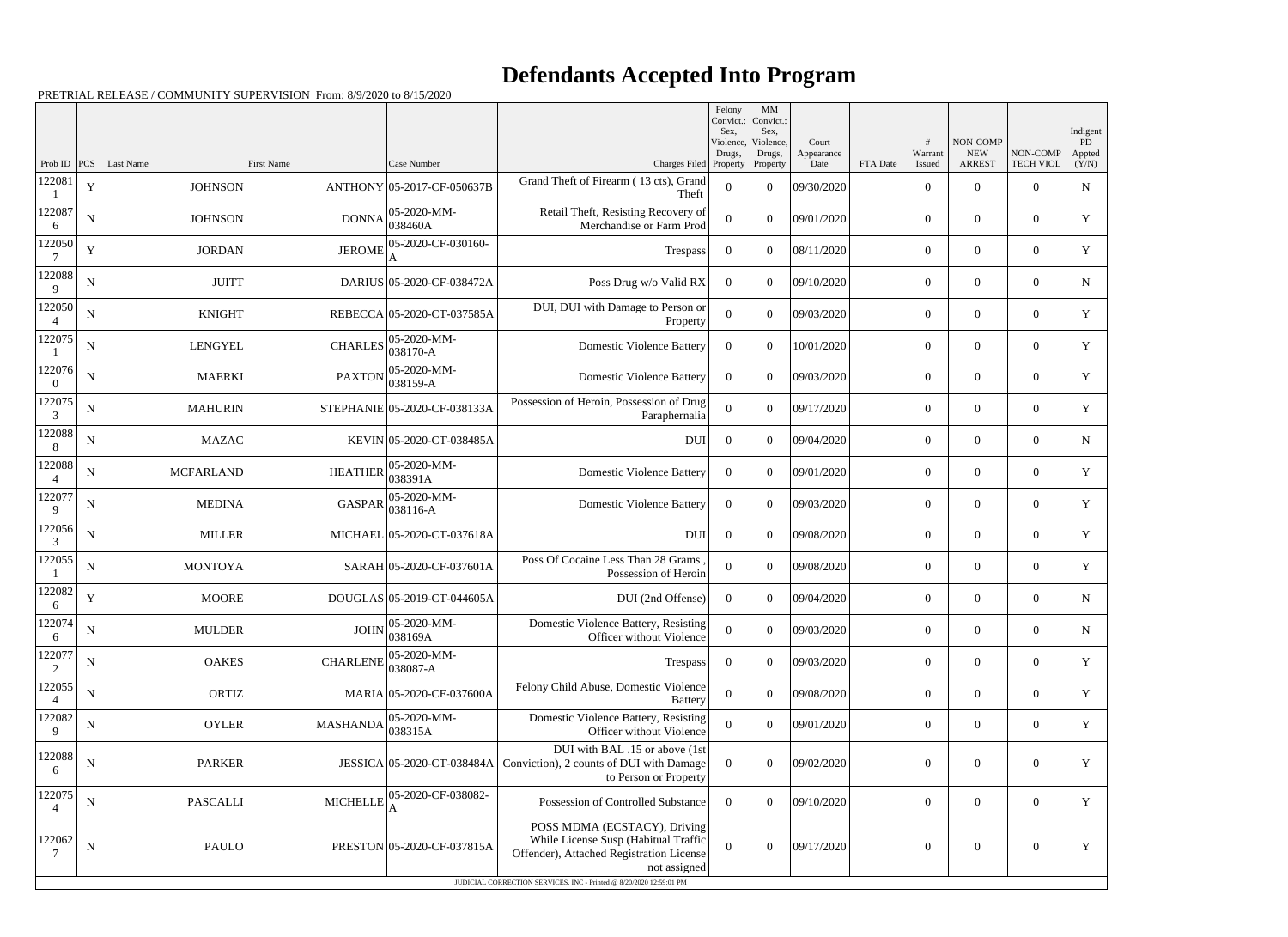## **Defendants Accepted Into Program**

PRETRIAL RELEASE / COMMUNITY SUPERVISION From: 8/9/2020 to 8/15/2020

|                          |             |                  |                   |                                                                          | Felony<br>Convict.:                                                                                                              |                             | MM<br>Convict.:             |                     |          |                  |                        |                  |                          |
|--------------------------|-------------|------------------|-------------------|--------------------------------------------------------------------------|----------------------------------------------------------------------------------------------------------------------------------|-----------------------------|-----------------------------|---------------------|----------|------------------|------------------------|------------------|--------------------------|
|                          |             |                  |                   |                                                                          |                                                                                                                                  | Sex.<br>Violence,<br>Drugs, | Sex,<br>Violence,<br>Drugs, | Court<br>Appearance |          | #<br>Warrant     | NON-COMP<br><b>NEW</b> | NON-COMP         | Indigent<br>PD<br>Appted |
| Prob ID $ PCS $          |             | Last Name        | <b>First Name</b> | Case Number                                                              | Charges Filed Property                                                                                                           |                             | Property                    | Date                | FTA Date | Issued           | <b>ARREST</b>          | <b>TECH VIOL</b> | (Y/N)                    |
| 122081                   | $\mathbf Y$ | <b>JOHNSON</b>   |                   | ANTHONY 05-2017-CF-050637B                                               | Grand Theft of Firearm (13 cts), Grand<br>Theft                                                                                  | $\boldsymbol{0}$            | $\overline{0}$              | 09/30/2020          |          | $\overline{0}$   | $\overline{0}$         | $\overline{0}$   | ${\bf N}$                |
| 122087<br>6              | ${\bf N}$   | <b>JOHNSON</b>   | <b>DONNA</b>      | 05-2020-MM-<br>038460A                                                   | Retail Theft, Resisting Recovery of<br>Merchandise or Farm Prod                                                                  | $\Omega$                    | $\theta$                    | 09/01/2020          |          | $\overline{0}$   | $\overline{0}$         | $\overline{0}$   | Y                        |
| 122050                   | $\mathbf Y$ | <b>JORDAN</b>    | <b>JEROME</b>     | 05-2020-CF-030160-                                                       | Trespass                                                                                                                         | $\overline{0}$              | $\boldsymbol{0}$            | 08/11/2020          |          | $\overline{0}$   | $\overline{0}$         | $\overline{0}$   | $\mathbf Y$              |
| 122088<br>9              | $\mathbf N$ | <b>JUITT</b>     |                   | DARIUS 05-2020-CF-038472A                                                | Poss Drug w/o Valid RX                                                                                                           | $\overline{0}$              | $\theta$                    | 09/10/2020          |          | $\overline{0}$   | $\overline{0}$         | $\overline{0}$   | $\mathbf N$              |
| 122050<br>$\overline{4}$ | ${\bf N}$   | <b>KNIGHT</b>    |                   | REBECCA 05-2020-CT-037585A                                               | DUI, DUI with Damage to Person or<br>Property                                                                                    | $\mathbf{0}$                | $\theta$                    | 09/03/2020          |          | $\overline{0}$   | $\Omega$               | $\overline{0}$   | $\mathbf Y$              |
| 122075                   | ${\bf N}$   | <b>LENGYEL</b>   | <b>CHARLES</b>    | 05-2020-MM-<br>038170-A                                                  | <b>Domestic Violence Battery</b>                                                                                                 | $\Omega$                    | $\Omega$                    | 10/01/2020          |          | $\overline{0}$   | $\overline{0}$         | $\overline{0}$   | Y                        |
| 122076<br>$\overline{0}$ | ${\bf N}$   | <b>MAERKI</b>    | <b>PAXTON</b>     | 05-2020-MM-<br>038159-A                                                  | <b>Domestic Violence Battery</b>                                                                                                 | $\overline{0}$              | $\theta$                    | 09/03/2020          |          | $\overline{0}$   | $\overline{0}$         | $\overline{0}$   | $\mathbf Y$              |
| 122075<br>3              | $\mathbf N$ | <b>MAHURIN</b>   |                   | STEPHANIE 05-2020-CF-038133A                                             | Possession of Heroin, Possession of Drug<br>Paraphernalia                                                                        | $\boldsymbol{0}$            | $\theta$                    | 09/17/2020          |          | $\overline{0}$   | $\overline{0}$         | $\overline{0}$   | Y                        |
| 122088<br>8              | ${\bf N}$   | <b>MAZAC</b>     |                   | KEVIN 05-2020-CT-038485A                                                 | <b>DUI</b>                                                                                                                       | $\overline{0}$              | $\theta$                    | 09/04/2020          |          | $\overline{0}$   | $\overline{0}$         | $\overline{0}$   | ${\bf N}$                |
| 122088                   | $\mathbf N$ | <b>MCFARLAND</b> | <b>HEATHER</b>    | 05-2020-MM-<br>038391A                                                   | <b>Domestic Violence Battery</b>                                                                                                 | $\Omega$                    | $\theta$                    | 09/01/2020          |          | $\overline{0}$   | $\overline{0}$         | $\overline{0}$   | Y                        |
| 122077<br>9              | ${\bf N}$   | <b>MEDINA</b>    | <b>GASPAR</b>     | 05-2020-MM-<br>038116-A                                                  | <b>Domestic Violence Battery</b>                                                                                                 | $\overline{0}$              | $\theta$                    | 09/03/2020          |          | $\overline{0}$   | $\overline{0}$         | $\overline{0}$   | $\mathbf Y$              |
| 122056<br>3              | $\mathbf N$ | <b>MILLER</b>    |                   | MICHAEL 05-2020-CT-037618A                                               | <b>DUI</b>                                                                                                                       | $\overline{0}$              | $\theta$                    | 09/08/2020          |          | $\overline{0}$   | $\overline{0}$         | $\overline{0}$   | Y                        |
| 122055                   | ${\bf N}$   | <b>MONTOYA</b>   |                   | SARAH 05-2020-CF-037601A                                                 | Poss Of Cocaine Less Than 28 Grams<br>Possession of Heroin                                                                       | $\overline{0}$              | $\theta$                    | 09/08/2020          |          | $\overline{0}$   | $\overline{0}$         | $\overline{0}$   | $\mathbf Y$              |
| 122082<br>6              | $\mathbf Y$ | <b>MOORE</b>     |                   | DOUGLAS 05-2019-CT-044605A                                               | DUI (2nd Offense)                                                                                                                | $\theta$                    | $\theta$                    | 09/04/2020          |          | $\overline{0}$   | $\overline{0}$         | $\overline{0}$   | N                        |
| 122074<br>6              | ${\bf N}$   | <b>MULDER</b>    |                   | JOHN $\begin{array}{ l} 05{\text -}2020{\text -}M\\ 038169A \end{array}$ | Domestic Violence Battery, Resisting<br>Officer without Violence                                                                 | $\overline{0}$              | $\overline{0}$              | 09/03/2020          |          | $\overline{0}$   | $\overline{0}$         | $\overline{0}$   | N                        |
| 122077<br>2              | ${\bf N}$   | <b>OAKES</b>     | <b>CHARLENE</b>   | 05-2020-MM-<br>038087-A                                                  | Trespass                                                                                                                         | $\overline{0}$              | $\boldsymbol{0}$            | 09/03/2020          |          | $\overline{0}$   | $\boldsymbol{0}$       | $\overline{0}$   | Y                        |
| 122055<br>$\overline{4}$ | ${\bf N}$   | <b>ORTIZ</b>     |                   | MARIA 05-2020-CF-037600A                                                 | Felony Child Abuse, Domestic Violence<br>Battery                                                                                 | $\mathbf{0}$                | $\boldsymbol{0}$            | 09/08/2020          |          | $\overline{0}$   | $\overline{0}$         | $\overline{0}$   | Y                        |
| 122082<br>9              | ${\bf N}$   | <b>OYLER</b>     | <b>MASHANDA</b>   | 05-2020-MM-<br>038315A                                                   | Domestic Violence Battery, Resisting<br>Officer without Violence                                                                 | $\overline{0}$              | $\overline{0}$              | 09/01/2020          |          | $\overline{0}$   | $\boldsymbol{0}$       | $\overline{0}$   | Y                        |
| 122088<br>6              | ${\bf N}$   | <b>PARKER</b>    |                   | JESSICA 05-2020-CT-038484A                                               | DUI with BAL .15 or above (1st<br>Conviction), 2 counts of DUI with Damage<br>to Person or Property                              | $\overline{0}$              | $\boldsymbol{0}$            | 09/02/2020          |          | $\boldsymbol{0}$ | $\overline{0}$         | $\overline{0}$   | $\mathbf Y$              |
| 122075<br>$\overline{4}$ | $\mathbf N$ | <b>PASCALLI</b>  | <b>MICHELLE</b>   | 05-2020-CF-038082-                                                       | Possession of Controlled Substance                                                                                               | $\overline{0}$              | $\boldsymbol{0}$            | 09/10/2020          |          | $\overline{0}$   | $\overline{0}$         | $\overline{0}$   | Y                        |
| 122062<br>7              | ${\bf N}$   | <b>PAULO</b>     |                   | PRESTON 05-2020-CF-037815A                                               | POSS MDMA (ECSTACY), Driving<br>While License Susp (Habitual Traffic<br>Offender), Attached Registration License<br>not assigned | $\overline{0}$              | $\boldsymbol{0}$            | 09/17/2020          |          | $\boldsymbol{0}$ | $\boldsymbol{0}$       | $\boldsymbol{0}$ | $\mathbf Y$              |
|                          |             |                  |                   |                                                                          | JUDICIAL CORRECTION SERVICES, INC - Printed @ 8/20/2020 12:59:01 PM                                                              |                             |                             |                     |          |                  |                        |                  |                          |